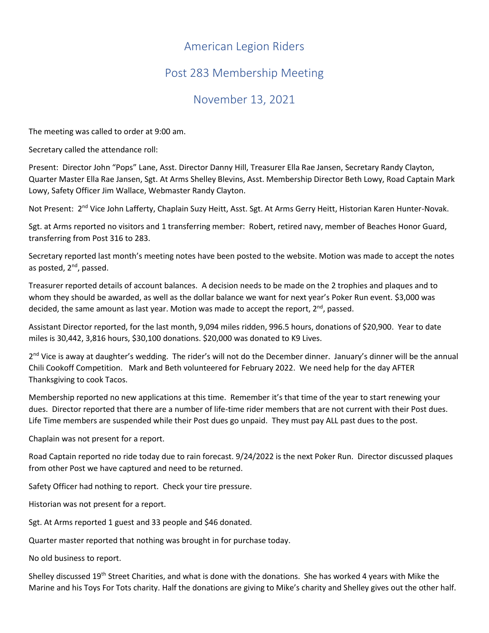## American Legion Riders

## Post 283 Membership Meeting

## November 13, 2021

The meeting was called to order at 9:00 am.

Secretary called the attendance roll:

Present: Director John "Pops" Lane, Asst. Director Danny Hill, Treasurer Ella Rae Jansen, Secretary Randy Clayton, Quarter Master Ella Rae Jansen, Sgt. At Arms Shelley Blevins, Asst. Membership Director Beth Lowy, Road Captain Mark Lowy, Safety Officer Jim Wallace, Webmaster Randy Clayton.

Not Present: 2<sup>nd</sup> Vice John Lafferty, Chaplain Suzy Heitt, Asst. Sgt. At Arms Gerry Heitt, Historian Karen Hunter-Novak.

Sgt. at Arms reported no visitors and 1 transferring member: Robert, retired navy, member of Beaches Honor Guard, transferring from Post 316 to 283.

Secretary reported last month's meeting notes have been posted to the website. Motion was made to accept the notes as posted,  $2^{nd}$ , passed.

Treasurer reported details of account balances. A decision needs to be made on the 2 trophies and plaques and to whom they should be awarded, as well as the dollar balance we want for next year's Poker Run event. \$3,000 was decided, the same amount as last year. Motion was made to accept the report,  $2^{nd}$ , passed.

Assistant Director reported, for the last month, 9,094 miles ridden, 996.5 hours, donations of \$20,900. Year to date miles is 30,442, 3,816 hours, \$30,100 donations. \$20,000 was donated to K9 Lives.

2<sup>nd</sup> Vice is away at daughter's wedding. The rider's will not do the December dinner. January's dinner will be the annual Chili Cookoff Competition. Mark and Beth volunteered for February 2022. We need help for the day AFTER Thanksgiving to cook Tacos.

Membership reported no new applications at this time. Remember it's that time of the year to start renewing your dues. Director reported that there are a number of life-time rider members that are not current with their Post dues. Life Time members are suspended while their Post dues go unpaid. They must pay ALL past dues to the post.

Chaplain was not present for a report.

Road Captain reported no ride today due to rain forecast. 9/24/2022 is the next Poker Run. Director discussed plaques from other Post we have captured and need to be returned.

Safety Officer had nothing to report. Check your tire pressure.

Historian was not present for a report.

Sgt. At Arms reported 1 guest and 33 people and \$46 donated.

Quarter master reported that nothing was brought in for purchase today.

No old business to report.

Shelley discussed 19<sup>th</sup> Street Charities, and what is done with the donations. She has worked 4 years with Mike the Marine and his Toys For Tots charity. Half the donations are giving to Mike's charity and Shelley gives out the other half.